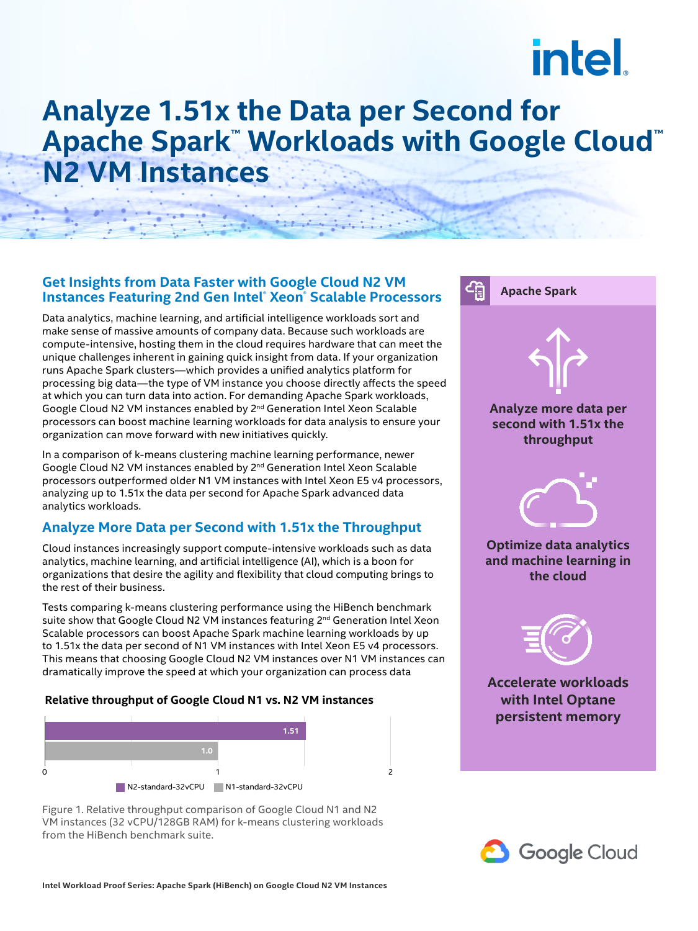# **intel**

# **Analyze 1.51x the Data per Second for Apache Spark™ Workloads with Google Cloud™ N2 VM Instances**

### **Get Insights from Data Faster with Google Cloud N2 VM Instances Featuring 2nd Gen Intel® Xeon® Scalable Processors**

Data analytics, machine learning, and artificial intelligence workloads sort and make sense of massive amounts of company data. Because such workloads are compute-intensive, hosting them in the cloud requires hardware that can meet the unique challenges inherent in gaining quick insight from data. If your organization runs Apache Spark clusters—which provides a unified analytics platform for processing big data—the type of VM instance you choose directly affects the speed at which you can turn data into action. For demanding Apache Spark workloads, Google Cloud N2 VM instances enabled by 2nd Generation Intel Xeon Scalable processors can boost machine learning workloads for data analysis to ensure your organization can move forward with new initiatives quickly.

In a comparison of k-means clustering machine learning performance, newer Google Cloud N2 VM instances enabled by 2nd Generation Intel Xeon Scalable processors outperformed older N1 VM instances with Intel Xeon E5 v4 processors, analyzing up to 1.51x the data per second for Apache Spark advanced data analytics workloads.

# **Analyze More Data per Second with 1.51x the Throughput**

Cloud instances increasingly support compute-intensive workloads such as data analytics, machine learning, and artificial intelligence (AI), which is a boon for organizations that desire the agility and flexibility that cloud computing brings to the rest of their business.

Tests comparing k-means clustering performance using the HiBench benchmark suite show that Google Cloud N2 VM instances featuring 2<sup>nd</sup> Generation Intel Xeon Scalable processors can boost Apache Spark machine learning workloads by up to 1.51x the data per second of N1 VM instances with Intel Xeon E5 v4 processors. This means that choosing Google Cloud N2 VM instances over N1 VM instances can dramatically improve the speed at which your organization can process data

#### **Relative throughput of Google Cloud N1 vs. N2 VM instances**



Figure 1. Relative throughput comparison of Google Cloud N1 and N2 VM instances (32 vCPU/128GB RAM) for k-means clustering workloads from the HiBench benchmark suite.



**Apache Spark**